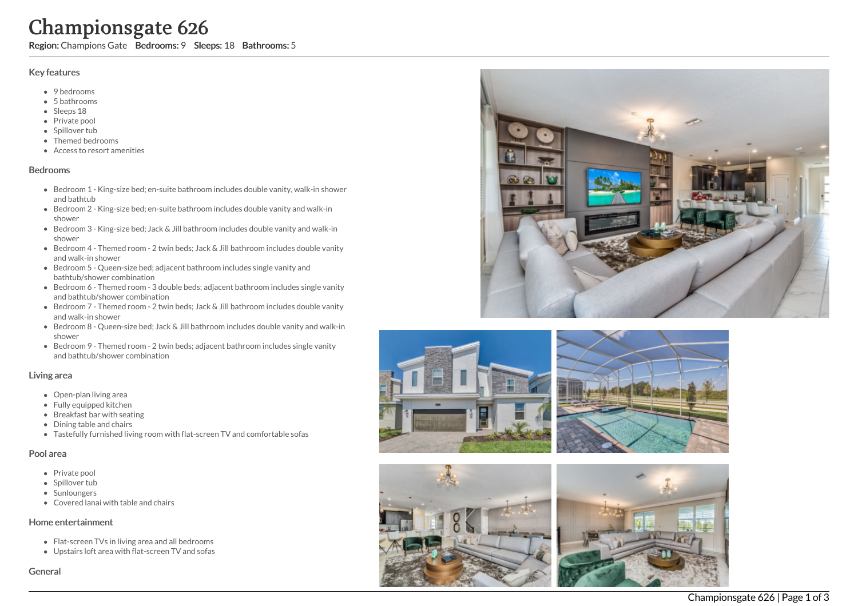# **Char**<br>
Region: Charles Charles Charles Charles Charles Charles Charles Charles Charles Charles Charles Charles Charles Charles Charles Charles Charles Charles Charles Charles Charles Charles Charles Charles Charles Charle mpionsgate 626

Region: Champions Gate Bedrooms: 9 Sleeps: 18 Bathrooms: 5

# Key features

- 9 bedrooms
- 5 b a t h r o o m s
- Sleeps 18
- Private pool
- Spillover tub
- Themed bedr o o m s
- Access to resort amenities

### **Bedrooms**

- Bedroom 1 King-size bed; en-suite bathroom includes double vanity, walk-in shower and bathtub
- Bedroom 2 King-size bed; en-suite bathroom includes double vanity and walk-in s h o w e r
- Bedroom 3 King-size bed; Jack & Jill bathroom includes double vanity and walk-in s h o w e r
- Bedroom 4 Themed room 2 twin beds; Jack & Jill bathroom includes double vanity a n d w alk -in s h o w e r
- Bedroom 5 Queen-size bed; adjacent bathroom includes single vanity and bathtub/shower combination
- Bedroom 6 Themed room 3 double beds; adjacent bathroom includes single vanity and bathtub/shower combination
- Bedroom 7 Themed room 2 twin beds; Jack & Jill bathroom includes double vanity a n d w alk -in s h o w e r
- Bedroom 8 Queen-size bed; Jack & Jill bathroom includes double vanity and walk-in s h o w e r
- Bedroom 9 Themed room 2 twin beds; adjacent bathroom includes single vanity and bathtub/shower combination

# Living area

- Open-plan living area
- Fully equipped kitchen
- Breakfast bar with seating
- Dining table and chairs
- Tastefully furnished living room with flat-screen TV and comfortable sofas

# Pool area

- Private pool
- Spillover tub
- Sunloungers
- Covered lanai with table and chairs

# Home entertainment

- Flat-screen TVs in living area and all bedrooms
- Upstairs loft area with flat-screen TV and sofas

Genera









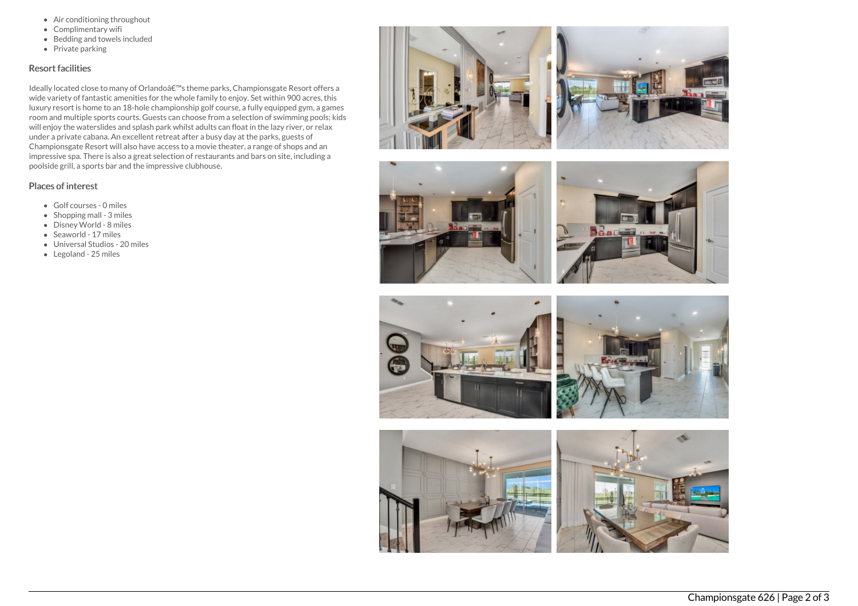- Air conditioning throughout
- Complimentary wifi
- Bedding and towels included
- Private parking

# Resort facilities

Ideally located close to many of Orlandoâ€<sup>™</sup>s theme parks, Championsgate Resort offers a wide variety of fantastic amenities for the whole family to enjoy. Set within 900 acres, this luxury resort is home to an 18-hole championship golf course, a fully equipped gym, a games room and multiple sports courts. Guests can choose from a selection of swimming pools; kids will enjoy the waterslides and splash park whilst adults can float in the lazy river, or relax under a private cabana. An excellent retreat after a busy day at the parks, guests of Championsgate Resort will also have access to a movie theater, a range of shops and an impressive spa. There is also a great selection of restaurants and bars on site, including a poolside grill, a sports bar and the impressive clubhouse.

# Places of interest

- Golf courses 0 miles
- Shopping mall 3 miles
- Disney World 8 miles
- Seaworld 17 miles
- Universal Studios 20 miles
- Legoland 25 miles